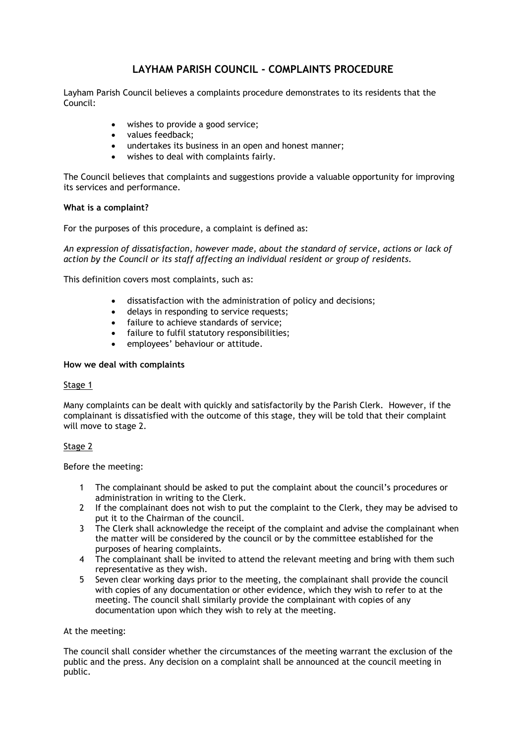# **LAYHAM PARISH COUNCIL - COMPLAINTS PROCEDURE**

Layham Parish Council believes a complaints procedure demonstrates to its residents that the Council:

- wishes to provide a good service;
- values feedback;
- undertakes its business in an open and honest manner;
- wishes to deal with complaints fairly.

The Council believes that complaints and suggestions provide a valuable opportunity for improving its services and performance.

### **What is a complaint?**

For the purposes of this procedure, a complaint is defined as:

*An expression of dissatisfaction, however made, about the standard of service, actions or lack of action by the Council or its staff affecting an individual resident or group of residents.*

This definition covers most complaints, such as:

- dissatisfaction with the administration of policy and decisions;
- delays in responding to service requests;
- failure to achieve standards of service;
- failure to fulfil statutory responsibilities;
- employees' behaviour or attitude.

## **How we deal with complaints**

### Stage 1

Many complaints can be dealt with quickly and satisfactorily by the Parish Clerk. However, if the complainant is dissatisfied with the outcome of this stage, they will be told that their complaint will move to stage 2.

### Stage 2

Before the meeting:

- 1 The complainant should be asked to put the complaint about the council's procedures or administration in writing to the Clerk.
- 2 If the complainant does not wish to put the complaint to the Clerk, they may be advised to put it to the Chairman of the council.
- 3 The Clerk shall acknowledge the receipt of the complaint and advise the complainant when the matter will be considered by the council or by the committee established for the purposes of hearing complaints.
- 4 The complainant shall be invited to attend the relevant meeting and bring with them such representative as they wish.
- 5 Seven clear working days prior to the meeting, the complainant shall provide the council with copies of any documentation or other evidence, which they wish to refer to at the meeting. The council shall similarly provide the complainant with copies of any documentation upon which they wish to rely at the meeting.

### At the meeting:

The council shall consider whether the circumstances of the meeting warrant the exclusion of the public and the press. Any decision on a complaint shall be announced at the council meeting in public.